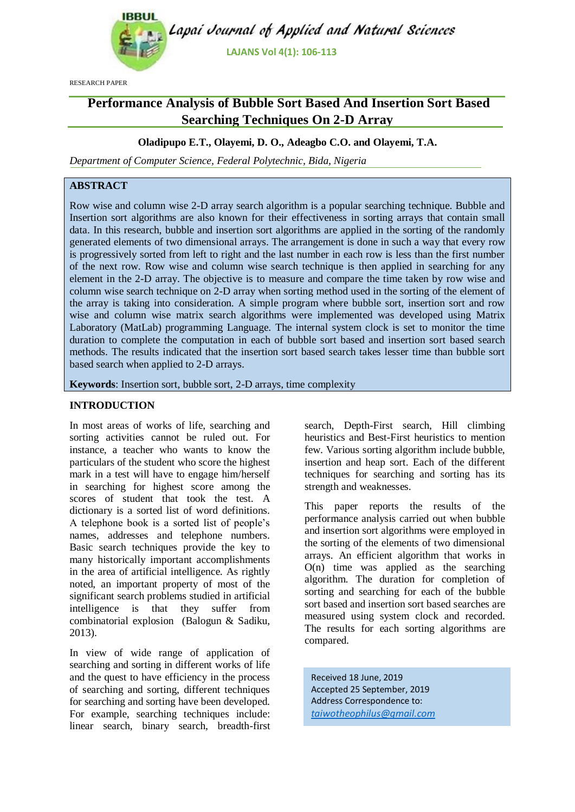

RESEARCH PAPER

# **Performance Analysis of Bubble Sort Based And Insertion Sort Based Searching Techniques On 2-D Array**

## **Oladipupo E.T., Olayemi, D. O., Adeagbo C.O. and Olayemi, T.A.**

*Department of Computer Science, Federal Polytechnic, Bida, Nigeria*

# **ABSTRACT**

Row wise and column wise 2-D array search algorithm is a popular searching technique. Bubble and Insertion sort algorithms are also known for their effectiveness in sorting arrays that contain small data. In this research, bubble and insertion sort algorithms are applied in the sorting of the randomly generated elements of two dimensional arrays. The arrangement is done in such a way that every row is progressively sorted from left to right and the last number in each row is less than the first number of the next row. Row wise and column wise search technique is then applied in searching for any element in the 2-D array. The objective is to measure and compare the time taken by row wise and column wise search technique on 2-D array when sorting method used in the sorting of the element of the array is taking into consideration. A simple program where bubble sort, insertion sort and row wise and column wise matrix search algorithms were implemented was developed using Matrix Laboratory (MatLab) programming Language. The internal system clock is set to monitor the time duration to complete the computation in each of bubble sort based and insertion sort based search methods. The results indicated that the insertion sort based search takes lesser time than bubble sort based search when applied to 2-D arrays.

**Keywords**: Insertion sort, bubble sort, 2-D arrays, time complexity

#### **INTRODUCTION**

In most areas of works of life, searching and sorting activities cannot be ruled out. For instance, a teacher who wants to know the particulars of the student who score the highest mark in a test will have to engage him/herself in searching for highest score among the scores of student that took the test. A dictionary is a sorted list of word definitions. A telephone book is a sorted list of people's names, addresses and telephone numbers. Basic search techniques provide the key to many historically important accomplishments in the area of artificial intelligence. As rightly noted, an important property of most of the significant search problems studied in artificial intelligence is that they suffer from combinatorial explosion (Balogun & Sadiku, 2013).

In view of wide range of application of searching and sorting in different works of life and the quest to have efficiency in the process of searching and sorting, different techniques for searching and sorting have been developed. For example, searching techniques include: linear search, binary search, breadth-first

search, Depth-First search, Hill climbing heuristics and Best-First heuristics to mention few. Various sorting algorithm include bubble, insertion and heap sort. Each of the different techniques for searching and sorting has its strength and weaknesses.

This paper reports the results of the performance analysis carried out when bubble and insertion sort algorithms were employed in the sorting of the elements of two dimensional arrays. An efficient algorithm that works in  $O(n)$  time was applied as the searching algorithm. The duration for completion of sorting and searching for each of the bubble sort based and insertion sort based searches are measured using system clock and recorded. The results for each sorting algorithms are compared.

Received 18 June, 2019 Accepted 25 September, 2019 Address Correspondence to: *[taiwotheophilus@gmail.com](mailto:taiwotheophilus@gmail.com)*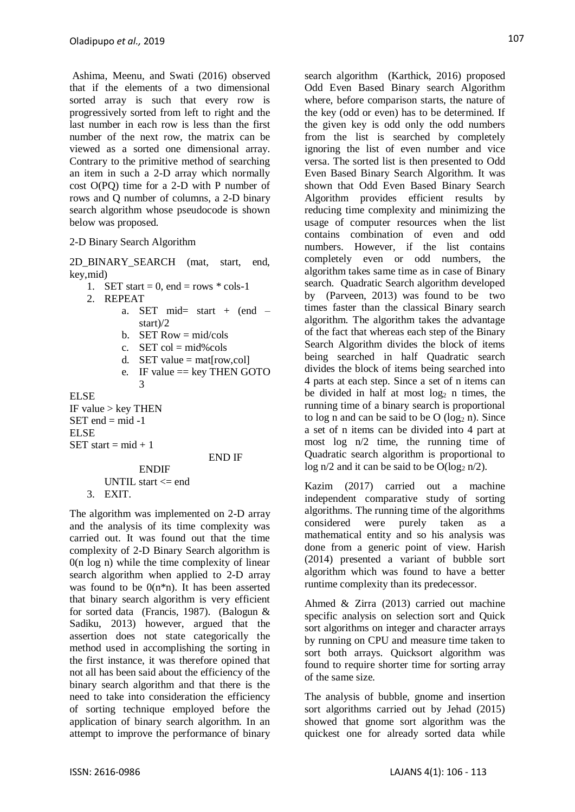Ashima, Meenu, and Swati (2016) observed that if the elements of a two dimensional sorted array is such that every row is progressively sorted from left to right and the last number in each row is less than the first number of the next row, the matrix can be viewed as a sorted one dimensional array. Contrary to the primitive method of searching an item in such a 2-D array which normally cost O(PQ) time for a 2-D with P number of rows and Q number of columns, a 2-D binary search algorithm whose pseudocode is shown below was proposed.

#### 2-D Binary Search Algorithm

2D\_BINARY\_SEARCH (mat, start, end, key,mid)

- 1. SET start = 0, end = rows  $*$  cols-1
- 2. REPEAT
	- a. SET mid= start +  $(end$ start)/2
	- b. SET Row  $=$  mid/cols
	- c. SET  $col = mid\% \text{cols}$
	- d. SET value  $=$  mations.coll
	- e. IF value  $==$  key THEN GOTO 3

ELSE

IF value  $>$  key THEN  $SET$  end = mid -1 ELSE SET start =  $mid + 1$ 

END IF

ENDIF UNTIL start  $\leq$  end 3. EXIT.

The algorithm was implemented on 2-D array and the analysis of its time complexity was carried out. It was found out that the time complexity of 2-D Binary Search algorithm is 0(n log n) while the time complexity of linear search algorithm when applied to 2-D array was found to be 0(n\*n). It has been asserted that binary search algorithm is very efficient for sorted data (Francis, 1987). (Balogun & Sadiku, 2013) however, argued that the assertion does not state categorically the method used in accomplishing the sorting in the first instance, it was therefore opined that not all has been said about the efficiency of the binary search algorithm and that there is the need to take into consideration the efficiency of sorting technique employed before the application of binary search algorithm. In an attempt to improve the performance of binary search algorithm (Karthick, 2016) proposed Odd Even Based Binary search Algorithm where, before comparison starts, the nature of the key (odd or even) has to be determined. If the given key is odd only the odd numbers from the list is searched by completely ignoring the list of even number and vice versa. The sorted list is then presented to Odd Even Based Binary Search Algorithm. It was shown that Odd Even Based Binary Search Algorithm provides efficient results by reducing time complexity and minimizing the usage of computer resources when the list contains combination of even and odd numbers. However, if the list contains completely even or odd numbers, the algorithm takes same time as in case of Binary search. Quadratic Search algorithm developed by (Parveen, 2013) was found to be two times faster than the classical Binary search algorithm. The algorithm takes the advantage of the fact that whereas each step of the Binary Search Algorithm divides the block of items being searched in half Quadratic search divides the block of items being searched into 4 parts at each step. Since a set of n items can be divided in half at most  $log<sub>2</sub>$  n times, the running time of a binary search is proportional to log n and can be said to be  $O$  (log<sub>2</sub> n). Since a set of n items can be divided into 4 part at most log n/2 time, the running time of Quadratic search algorithm is proportional to log n/2 and it can be said to be  $O(\log_2 n/2)$ .

Kazim (2017) carried out a machine independent comparative study of sorting algorithms. The running time of the algorithms considered were purely taken as a mathematical entity and so his analysis was done from a generic point of view. Harish (2014) presented a variant of bubble sort algorithm which was found to have a better runtime complexity than its predecessor.

Ahmed & Zirra (2013) carried out machine specific analysis on selection sort and Quick sort algorithms on integer and character arrays by running on CPU and measure time taken to sort both arrays. Quicksort algorithm was found to require shorter time for sorting array of the same size.

The analysis of bubble, gnome and insertion sort algorithms carried out by Jehad (2015) showed that gnome sort algorithm was the quickest one for already sorted data while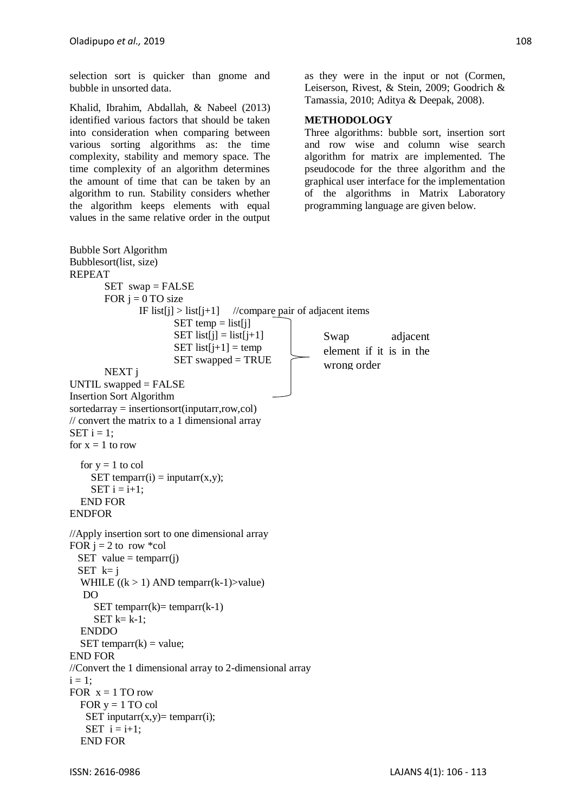selection sort is quicker than gnome and bubble in unsorted data.

Khalid, Ibrahim, Abdallah, & Nabeel (2013) identified various factors that should be taken into consideration when comparing between various sorting algorithms as: the time complexity, stability and memory space. The time complexity of an algorithm determines the amount of time that can be taken by an algorithm to run. Stability considers whether the algorithm keeps elements with equal values in the same relative order in the output as they were in the input or not (Cormen, Leiserson, Rivest, & Stein, 2009; Goodrich & Tamassia, 2010; Aditya & Deepak, 2008).

#### **METHODOLOGY**

Three algorithms: bubble sort, insertion sort and row wise and column wise search algorithm for matrix are implemented. The pseudocode for the three algorithm and the graphical user interface for the implementation of the algorithms in Matrix Laboratory programming language are given below.

```
Bubble Sort Algorithm
Bubblesort(list, size)
REPEAT
       SET swap = FALSE
       FOR j = 0 TO size
               IF list[j] > list[j+1] //compare pair of adjacent items
                      SET temp = list[j]
                      SET list[i] = list[i+1]
                      SET list[j+1] = temp
                      SET swapped = TRUE
       NEXT j 
UNTIL swapped = FALSE
Insertion Sort Algorithm
sortedarray = insertionsort(inputarr,row,col)
// convert the matrix to a 1 dimensional array
SET i = 1:
for x = 1 to row
  for y = 1 to col
    SET temparr(i) = inputarr(x,y);
    SET i = i+1;
   END FOR
ENDFOR
//Apply insertion sort to one dimensional array
FOR i = 2 to row *col
 SET value = temparr(j)
 SET k=iWHILE ((k > 1) AND temparr(k-1)>value)
   DO
     SET temparr(k)= temparr(k-1)SET k= k-1;
   ENDDO
  SET temparr(k) = value;
END FOR
//Convert the 1 dimensional array to 2-dimensional array
i = 1;FOR x = 1 TO row
  FOR y = 1 TO col
   SET inputarr(x,y)= temparr(i);
   SET i = i+1;
   END FOR
                                                       Swap adjacent 
                                                       element if it is in the 
                                                       wrong order
```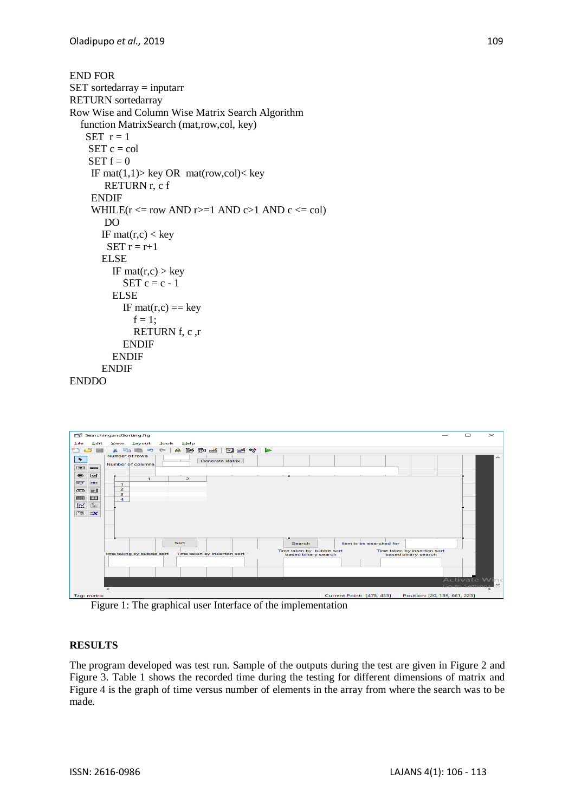```
END FOR
SET sortedarray = inputarr
RETURN sortedarray
Row Wise and Column Wise Matrix Search Algorithm
   function MatrixSearch (mat,row,col, key)
   SET r = 1SET c = colSET f = 0IF mat(1,1) key OR mat(row,col) < key
        RETURN r, c f
    ENDIF
    WHILE(r \leq r and r \geq 1 AND c \geq 1 AND c \leq col)
       DO
       IF mat(r, c) < key
        SET r = r+1 ELSE
         IF mat(r, c) > key
           SET c = c - 1 ELSE
           IF mat(r,c) == \text{key}f = 1;
               RETURN f, c ,r
            ENDIF
          ENDIF
      ENDIF
```

```
ENDDO
```


Figure 1: The graphical user Interface of the implementation

## **RESULTS**

The program developed was test run. Sample of the outputs during the test are given in Figure 2 and Figure 3. Table 1 shows the recorded time during the testing for different dimensions of matrix and Figure 4 is the graph of time versus number of elements in the array from where the search was to be made.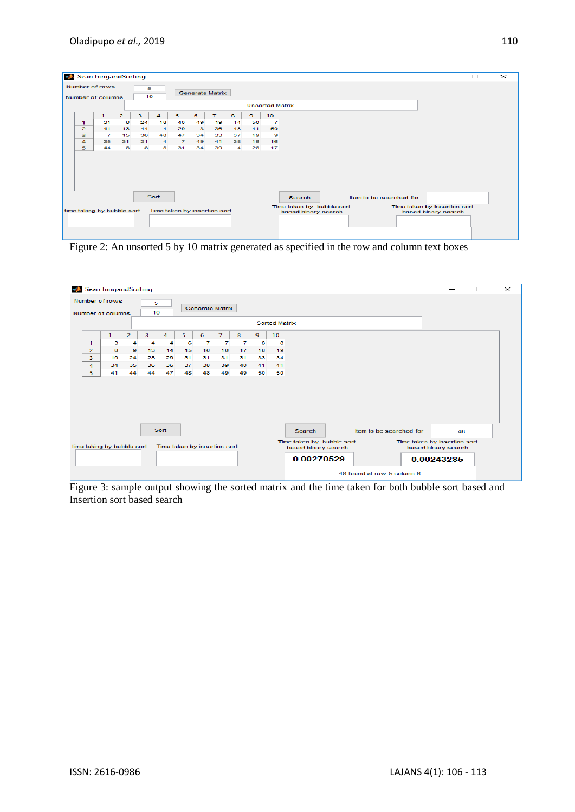|                                                                                                          | SearchingandSorting<br>$\times$<br>$\Box$ |                |                |              |                        |                |         |                                   |                      |          |                 |  |  |  |
|----------------------------------------------------------------------------------------------------------|-------------------------------------------|----------------|----------------|--------------|------------------------|----------------|---------|-----------------------------------|----------------------|----------|-----------------|--|--|--|
| Number of rows<br>5<br>10<br>Number of columns                                                           |                                           |                |                |              | <b>Generate Matrix</b> |                |         |                                   |                      |          |                 |  |  |  |
|                                                                                                          | <b>Unsorted Matrix</b>                    |                |                |              |                        |                |         |                                   |                      |          |                 |  |  |  |
|                                                                                                          |                                           | $\mathbf{1}$   | $\overline{2}$ | $\mathbf{3}$ | $\overline{4}$         | 5.             | 6       | $\tau$                            | 8                    | 9        | 10 <sup>°</sup> |  |  |  |
|                                                                                                          | $\mathbf{1}$                              | 31<br>41       | 6              | 24<br>44     | 18                     | 40             | 49      | 19                                | 14                   | 50       | $\overline{7}$  |  |  |  |
|                                                                                                          | $\overline{2}$<br>з                       | $\overline{7}$ | 13<br>15       | 36           | $\overline{4}$<br>48   | 29<br>47       | 3<br>34 | 36<br>33                          | 48<br>37             | 41<br>19 | 50<br>- 9       |  |  |  |
|                                                                                                          | $\overline{4}$                            | 35             | 31             | 31           | 4 <sup>1</sup>         | $\overline{7}$ | 49      | 41                                | 38                   | 16       | 16              |  |  |  |
|                                                                                                          | 5.                                        | 44             | 8              | 8            | 8                      | 31             | 34      | 39                                | $\blacktriangleleft$ | 28       | 17              |  |  |  |
|                                                                                                          |                                           |                |                |              |                        |                |         |                                   |                      |          |                 |  |  |  |
|                                                                                                          |                                           |                |                |              |                        |                |         |                                   |                      |          |                 |  |  |  |
|                                                                                                          |                                           |                |                |              |                        |                |         |                                   |                      |          |                 |  |  |  |
|                                                                                                          |                                           |                |                |              |                        |                |         |                                   |                      |          |                 |  |  |  |
|                                                                                                          |                                           |                |                |              |                        |                |         |                                   |                      |          |                 |  |  |  |
|                                                                                                          | Sort                                      |                |                |              |                        |                |         | Item to be searched for<br>Search |                      |          |                 |  |  |  |
| Time taken by bubble sort<br>Time taken by insertion sort                                                |                                           |                |                |              |                        |                |         |                                   |                      |          |                 |  |  |  |
| Time taken by insertion sort<br>time taking by bubble sort<br>based binary search<br>based binary search |                                           |                |                |              |                        |                |         |                                   |                      |          |                 |  |  |  |
|                                                                                                          |                                           |                |                |              |                        |                |         |                                   |                      |          |                 |  |  |  |
|                                                                                                          |                                           |                |                |              |                        |                |         |                                   |                      |          |                 |  |  |  |
|                                                                                                          |                                           |                |                |              |                        |                |         |                                   |                      |          |                 |  |  |  |

Figure 2: An unsorted 5 by 10 matrix generated as specified in the row and column text boxes



Figure 3: sample output showing the sorted matrix and the time taken for both bubble sort based and Insertion sort based search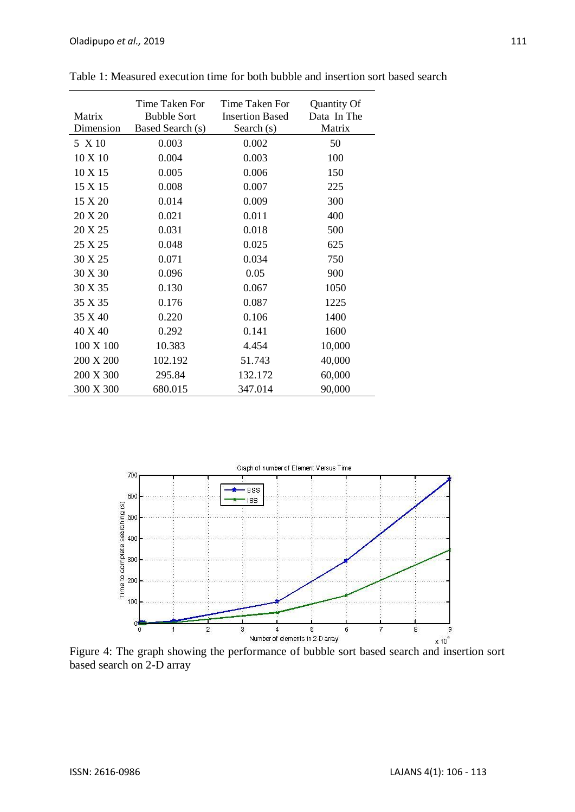| Matrix<br>Dimension | Time Taken For<br><b>Bubble Sort</b><br>Based Search (s) | Time Taken For<br><b>Insertion Based</b><br>Search (s) | Quantity Of<br>Data In The<br>Matrix |
|---------------------|----------------------------------------------------------|--------------------------------------------------------|--------------------------------------|
| 5 X 10              | 0.003                                                    | 0.002                                                  | 50                                   |
| 10 X 10             | 0.004                                                    | 0.003                                                  | 100                                  |
| 10 X 15             | 0.005                                                    | 0.006                                                  | 150                                  |
| 15 X 15             | 0.008                                                    | 0.007                                                  | 225                                  |
| 15 X 20             | 0.014                                                    | 0.009                                                  | 300                                  |
| 20 X 20             | 0.021                                                    | 0.011                                                  | 400                                  |
| 20 X 25             | 0.031                                                    | 0.018                                                  | 500                                  |
| 25 X 25             | 0.048                                                    | 0.025                                                  | 625                                  |
| 30 X 25             | 0.071                                                    | 0.034                                                  | 750                                  |
| 30 X 30             | 0.096                                                    | 0.05                                                   | 900                                  |
| 30 X 35             | 0.130                                                    | 0.067                                                  | 1050                                 |
| 35 X 35             | 0.176                                                    | 0.087                                                  | 1225                                 |
| 35 X 40             | 0.220                                                    | 0.106                                                  | 1400                                 |
| 40 X 40             | 0.292                                                    | 0.141                                                  | 1600                                 |
| 100 X 100           | 10.383                                                   | 4.454                                                  | 10,000                               |
| 200 X 200           | 102.192                                                  | 51.743                                                 | 40,000                               |
| 200 X 300           | 295.84                                                   | 132.172                                                | 60,000                               |
| 300 X 300           | 680.015                                                  | 347.014                                                | 90,000                               |

Table 1: Measured execution time for both bubble and insertion sort based search



Figure 4: The graph showing the performance of bubble sort based search and insertion sort based search on 2-D array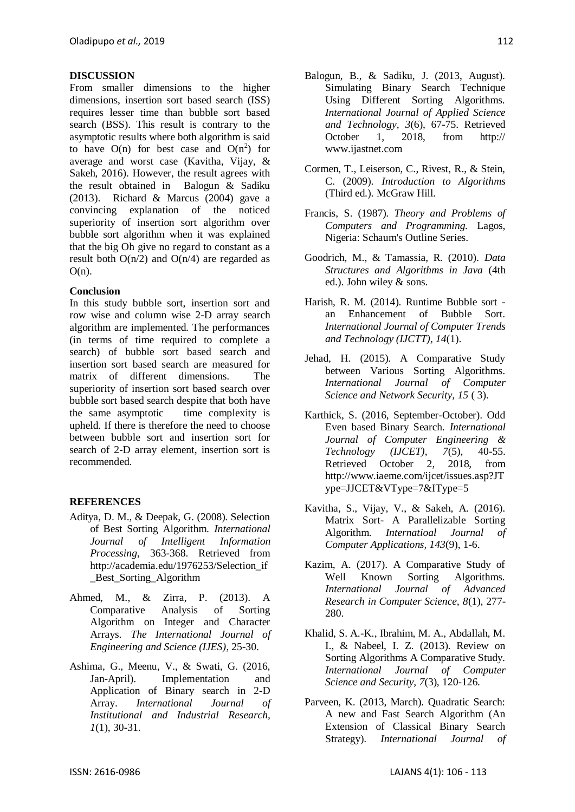## **DISCUSSION**

From smaller dimensions to the higher dimensions, insertion sort based search (ISS) requires lesser time than bubble sort based search (BSS). This result is contrary to the asymptotic results where both algorithm is said to have  $O(n)$  for best case and  $O(n^2)$  for average and worst case (Kavitha, Vijay, & Sakeh, 2016). However, the result agrees with the result obtained in Balogun & Sadiku (2013). Richard & Marcus (2004) gave a convincing explanation of the noticed superiority of insertion sort algorithm over bubble sort algorithm when it was explained that the big Oh give no regard to constant as a result both  $O(n/2)$  and  $O(n/4)$  are regarded as  $O(n)$ .

## **Conclusion**

In this study bubble sort, insertion sort and row wise and column wise 2-D array search algorithm are implemented. The performances (in terms of time required to complete a search) of bubble sort based search and insertion sort based search are measured for matrix of different dimensions. The superiority of insertion sort based search over bubble sort based search despite that both have the same asymptotic time complexity is upheld. If there is therefore the need to choose between bubble sort and insertion sort for search of 2-D array element, insertion sort is recommended.

## **REFERENCES**

- Aditya, D. M., & Deepak, G. (2008). Selection of Best Sorting Algorithm. *International Journal of Intelligent Information Processing*, 363-368. Retrieved from http://academia.edu/1976253/Selection\_if \_Best\_Sorting\_Algorithm
- Ahmed, M., & Zirra, P. (2013). A Comparative Analysis of Sorting Algorithm on Integer and Character Arrays. *The International Journal of Engineering and Science (IJES)*, 25-30.
- Ashima, G., Meenu, V., & Swati, G. (2016, Jan-April). Implementation and Application of Binary search in 2-D Array. *International Journal of Institutional and Industrial Research, 1*(1), 30-31.
- Balogun, B., & Sadiku, J. (2013, August). Simulating Binary Search Technique Using Different Sorting Algorithms. *International Journal of Applied Science and Technology, 3*(6), 67-75. Retrieved October 1, 2018, from http:// www.ijastnet.com
- Cormen, T., Leiserson, C., Rivest, R., & Stein, C. (2009). *Introduction to Algorithms* (Third ed.). McGraw Hill.
- Francis, S. (1987). *Theory and Problems of Computers and Programming.* Lagos, Nigeria: Schaum's Outline Series.
- Goodrich, M., & Tamassia, R. (2010). *Data Structures and Algorithms in Java* (4th ed.). John wiley & sons.
- Harish, R. M. (2014). Runtime Bubble sort an Enhancement of Bubble Sort. *International Journal of Computer Trends and Technology (IJCTT), 14*(1).
- Jehad, H. (2015). A Comparative Study between Various Sorting Algorithms. *International Journal of Computer Science and Network Security, 15* ( 3).
- Karthick, S. (2016, September-October). Odd Even based Binary Search. *International Journal of Computer Engineering & Technology (IJCET), 7*(5), 40-55. Retrieved October 2, 2018, from http://www.iaeme.com/ijcet/issues.asp?JT ype=JJCET&VType=7&IType=5
- Kavitha, S., Vijay, V., & Sakeh, A. (2016). Matrix Sort- A Parallelizable Sorting Algorithm. *Internatioal Journal of Computer Applications, 143*(9), 1-6.
- Kazim, A. (2017). A Comparative Study of Well Known Sorting Algorithms. *International Journal of Advanced Research in Computer Science, 8*(1), 277- 280.
- Khalid, S. A.-K., Ibrahim, M. A., Abdallah, M. I., & Nabeel, I. Z. (2013). Review on Sorting Algorithms A Comparative Study. *International Journal of Computer Science and Security, 7*(3), 120-126.
- Parveen, K. (2013, March). Quadratic Search: A new and Fast Search Algorithm (An Extension of Classical Binary Search Strategy). *International Journal of*